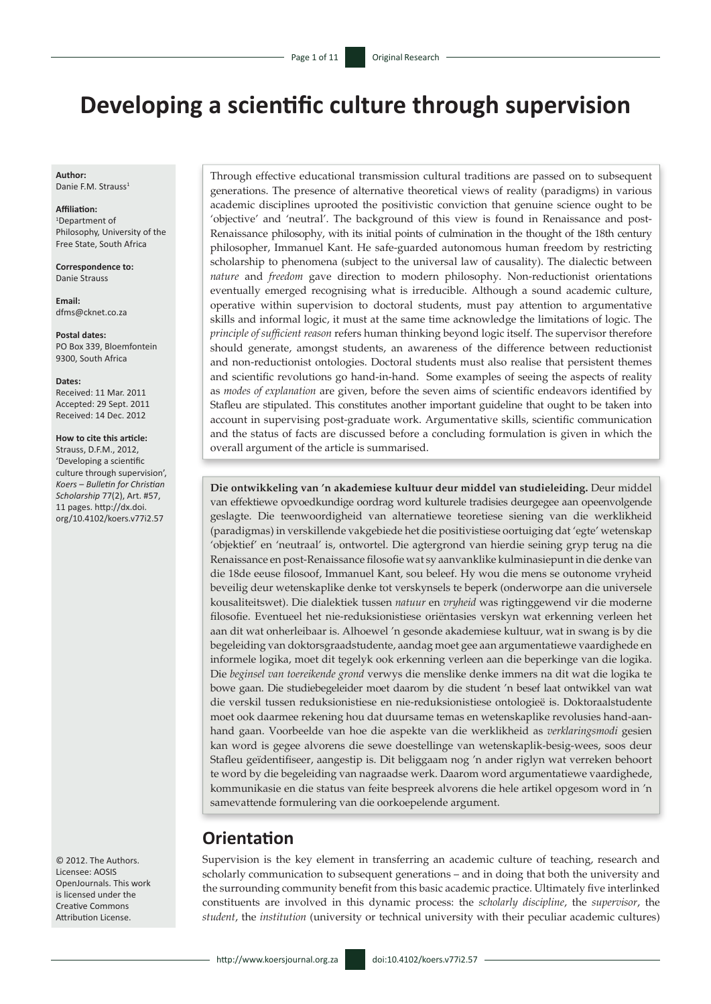# **Developing a scientific culture through supervision**

**Author:** Danie F.M. Strauss<sup>1</sup>

#### **Affiliation:**

1 Department of Philosophy, University of the Free State, South Africa

**Correspondence to:** Danie Strauss

**Email:** [dfms@cknet.co.za](mailto:dfms@cknet.co.za)

**Postal dates:** PO Box 339, Bloemfontein 9300, South Africa

#### **Dates:**

Received: 11 Mar. 2011 Accepted: 29 Sept. 2011 Received: 14 Dec. 2012

#### **How to cite this article:**

Strauss, D.F.M., 2012, 'Developing a scientific culture through supervision', *Koers – Bulletin for Christian Scholarship* 77(2), Art. #57, 11 pages. http://dx.doi. org/10.4102/koers.v77i2.57

© 2012. The Authors. Licensee: AOSIS OpenJournals. This work is licensed under the Creative Commons Attribution License.

Through effective educational transmission cultural traditions are passed on to subsequent generations. The presence of alternative theoretical views of reality (paradigms) in various academic disciplines uprooted the positivistic conviction that genuine science ought to be 'objective' and 'neutral'. The background of this view is found in Renaissance and post-Renaissance philosophy, with its initial points of culmination in the thought of the 18th century philosopher, Immanuel Kant. He safe-guarded autonomous human freedom by restricting scholarship to phenomena (subject to the universal law of causality). The dialectic between *nature* and *freedom* gave direction to modern philosophy. Non-reductionist orientations eventually emerged recognising what is irreducible. Although a sound academic culture, operative within supervision to doctoral students, must pay attention to argumentative skills and informal logic, it must at the same time acknowledge the limitations of logic. The *principle of sufficient reason* refers human thinking beyond logic itself. The supervisor therefore should generate, amongst students, an awareness of the difference between reductionist and non-reductionist ontologies. Doctoral students must also realise that persistent themes and scientific revolutions go hand-in-hand. Some examples of seeing the aspects of reality as *modes of explanation* are given, before the seven aims of scientific endeavors identified by Stafleu are stipulated. This constitutes another important guideline that ought to be taken into account in supervising post-graduate work. Argumentative skills, scientific communication and the status of facts are discussed before a concluding formulation is given in which the overall argument of the article is summarised.

**Die ontwikkeling van 'n akademiese kultuur deur middel van studieleiding.** Deur middel van effektiewe opvoedkundige oordrag word kulturele tradisies deurgegee aan opeenvolgende geslagte. Die teenwoordigheid van alternatiewe teoretiese siening van die werklikheid (paradigmas) in verskillende vakgebiede het die positivistiese oortuiging dat 'egte' wetenskap 'objektief' en 'neutraal' is, ontwortel. Die agtergrond van hierdie seining gryp terug na die Renaissance en post-Renaissance filosofie wat sy aanvanklike kulminasiepunt in die denke van die 18de eeuse filosoof, Immanuel Kant, sou beleef. Hy wou die mens se outonome vryheid beveilig deur wetenskaplike denke tot verskynsels te beperk (onderworpe aan die universele kousaliteitswet). Die dialektiek tussen *natuur* en *vryheid* was rigtinggewend vir die moderne filosofie. Eventueel het nie-reduksionistiese oriëntasies verskyn wat erkenning verleen het aan dit wat onherleibaar is. Alhoewel 'n gesonde akademiese kultuur, wat in swang is by die begeleiding van doktorsgraadstudente, aandag moet gee aan argumentatiewe vaardighede en informele logika, moet dit tegelyk ook erkenning verleen aan die beperkinge van die logika. Die *beginsel van toereikende grond* verwys die menslike denke immers na dit wat die logika te bowe gaan. Die studiebegeleider moet daarom by die student 'n besef laat ontwikkel van wat die verskil tussen reduksionistiese en nie-reduksionistiese ontologieë is. Doktoraalstudente moet ook daarmee rekening hou dat duursame temas en wetenskaplike revolusies hand-aanhand gaan. Voorbeelde van hoe die aspekte van die werklikheid as *verklaringsmodi* gesien kan word is gegee alvorens die sewe doestellinge van wetenskaplik-besig-wees, soos deur Stafleu geïdentifiseer, aangestip is. Dit beliggaam nog 'n ander riglyn wat verreken behoort te word by die begeleiding van nagraadse werk. Daarom word argumentatiewe vaardighede, kommunikasie en die status van feite bespreek alvorens die hele artikel opgesom word in 'n samevattende formulering van die oorkoepelende argument.

### **Orientation**

Supervision is the key element in transferring an academic culture of teaching, research and scholarly communication to subsequent generations – and in doing that both the university and the surrounding community benefit from this basic academic practice. Ultimately five interlinked constituents are involved in this dynamic process: the *scholarly discipline*, the *supervisor*, the *student*, the *institution* (university or technical university with their peculiar academic cultures)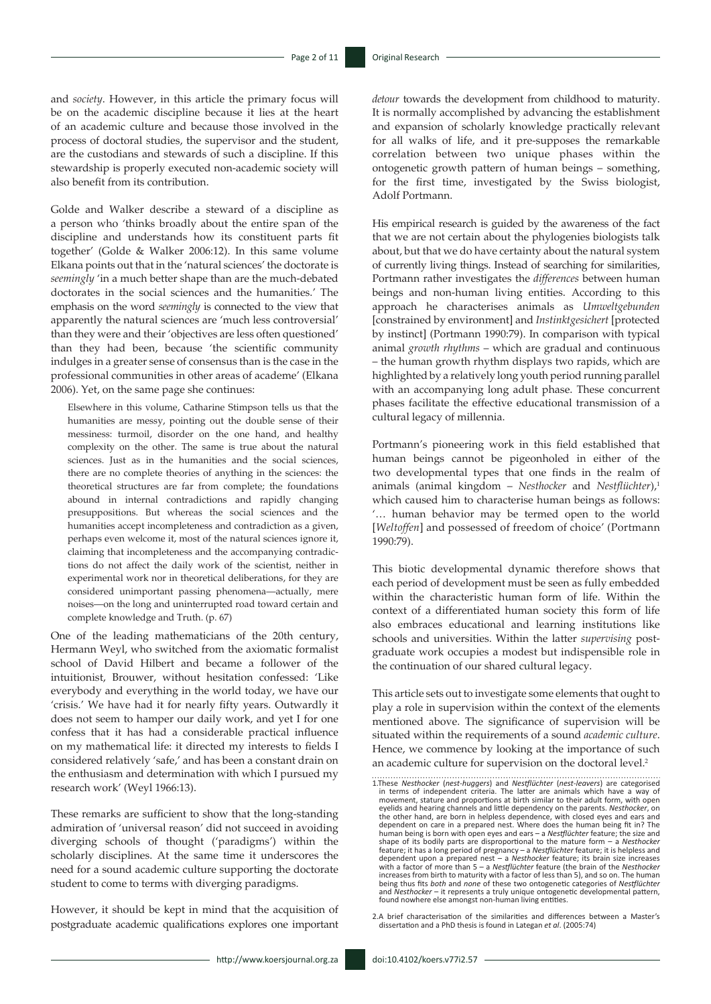and *society*. However, in this article the primary focus will be on the academic discipline because it lies at the heart of an academic culture and because those involved in the process of doctoral studies, the supervisor and the student, are the custodians and stewards of such a discipline. If this stewardship is properly executed non-academic society will also benefit from its contribution.

Golde and Walker describe a steward of a discipline as a person who 'thinks broadly about the entire span of the discipline and understands how its constituent parts fit together' (Golde & Walker 2006:12). In this same volume Elkana points out that in the 'natural sciences' the doctorate is *seemingly* 'in a much better shape than are the much-debated doctorates in the social sciences and the humanities.' The emphasis on the word *seemingly* is connected to the view that apparently the natural sciences are 'much less controversial' than they were and their 'objectives are less often questioned' than they had been, because 'the scientific community indulges in a greater sense of consensus than is the case in the professional communities in other areas of academe' (Elkana 2006). Yet, on the same page she continues:

Elsewhere in this volume, Catharine Stimpson tells us that the humanities are messy, pointing out the double sense of their messiness: turmoil, disorder on the one hand, and healthy complexity on the other. The same is true about the natural sciences. Just as in the humanities and the social sciences, there are no complete theories of anything in the sciences: the theoretical structures are far from complete; the foundations abound in internal contradictions and rapidly changing presuppositions. But whereas the social sciences and the humanities accept incompleteness and contradiction as a given, perhaps even welcome it, most of the natural sciences ignore it, claiming that incompleteness and the accompanying contradictions do not affect the daily work of the scientist, neither in experimental work nor in theoretical deliberations, for they are considered unimportant passing phenomena—actually, mere noises—on the long and uninterrupted road toward certain and complete knowledge and Truth. (p. 67)

One of the leading mathematicians of the 20th century, Hermann Weyl, who switched from the axiomatic formalist school of David Hilbert and became a follower of the intuitionist, Brouwer, without hesitation confessed: 'Like everybody and everything in the world today, we have our 'crisis.' We have had it for nearly fifty years. Outwardly it does not seem to hamper our daily work, and yet I for one confess that it has had a considerable practical influence on my mathematical life: it directed my interests to fields I considered relatively 'safe,' and has been a constant drain on the enthusiasm and determination with which I pursued my research work' (Weyl 1966:13).

These remarks are sufficient to show that the long-standing admiration of 'universal reason' did not succeed in avoiding diverging schools of thought ('paradigms') within the scholarly disciplines. At the same time it underscores the need for a sound academic culture supporting the doctorate student to come to terms with diverging paradigms.

However, it should be kept in mind that the acquisition of postgraduate academic qualifications explores one important

*detour* towards the development from childhood to maturity. It is normally accomplished by advancing the establishment and expansion of scholarly knowledge practically relevant for all walks of life, and it pre-supposes the remarkable correlation between two unique phases within the ontogenetic growth pattern of human beings – something, for the first time, investigated by the Swiss biologist, Adolf Portmann.

His empirical research is guided by the awareness of the fact that we are not certain about the phylogenies biologists talk about, but that we do have certainty about the natural system of currently living things. Instead of searching for similarities, Portmann rather investigates the *differences* between human beings and non-human living entities. According to this approach he characterises animals as *Umweltgebunden* [constrained by environment] and *Instinktgesichert* [protected by instinct] (Portmann 1990:79). In comparison with typical animal *growth rhythms* – which are gradual and continuous – the human growth rhythm displays two rapids, which are highlighted by a relatively long youth period running parallel with an accompanying long adult phase. These concurrent phases facilitate the effective educational transmission of a cultural legacy of millennia.

Portmann's pioneering work in this field established that human beings cannot be pigeonholed in either of the two developmental types that one finds in the realm of animals (animal kingdom - *Nesthocker* and *Nestflüchter*),<sup>1</sup> which caused him to characterise human beings as follows: '… human behavior may be termed open to the world [*Weltoffen*] and possessed of freedom of choice' (Portmann 1990:79).

This biotic developmental dynamic therefore shows that each period of development must be seen as fully embedded within the characteristic human form of life. Within the context of a differentiated human society this form of life also embraces educational and learning institutions like schools and universities. Within the latter *supervising* postgraduate work occupies a modest but indispensible role in the continuation of our shared cultural legacy.

This article sets out to investigate some elements that ought to play a role in supervision within the context of the elements mentioned above. The significance of supervision will be situated within the requirements of a sound *academic culture*. Hence, we commence by looking at the importance of such an academic culture for supervision on the doctoral level.<sup>2</sup>

<sup>1.</sup>These *Nesthocker* (*nest*-*huggers*) and *Nestflüchter* (*nest*-*leavers*) are categorised in terms of independent criteria. The latter are animals which have a way of movement, stature and proportions at birth similar to their adult form, with open eyelids and hearing channels and little dependency on the parents. *Nesthocker*, on the other hand, are born in helpless dependence, with closed eyes and ears and dependent on care in a prepared nest. Where does the human being fit in? The human being is born with open eyes and ears – a *Nestflüchter* feature; the size and shape of its bodily parts are disproportional to the mature form  $-$  a *Nesthocker* feature; it has a long period of pregnancy  $-$  a *Nestflüchter* feature; it is helpless and dependent upon a prepared nest  $-$  a *Nesthoc* increases from birth to maturity with a factor of less than 5), and so on. The human being thus fits *both* and *none* of these two ontogenetic categories of *Nestflüchter* and *Nesthocker* – it represents a truly unique ontogenetic developmental pattern, found nowhere else amongst non-human living entities.

<sup>2.</sup>A brief characterisation of the similarities and differences between a Master's dissertation and a PhD thesis is found in Lategan *et al*. (2005:74)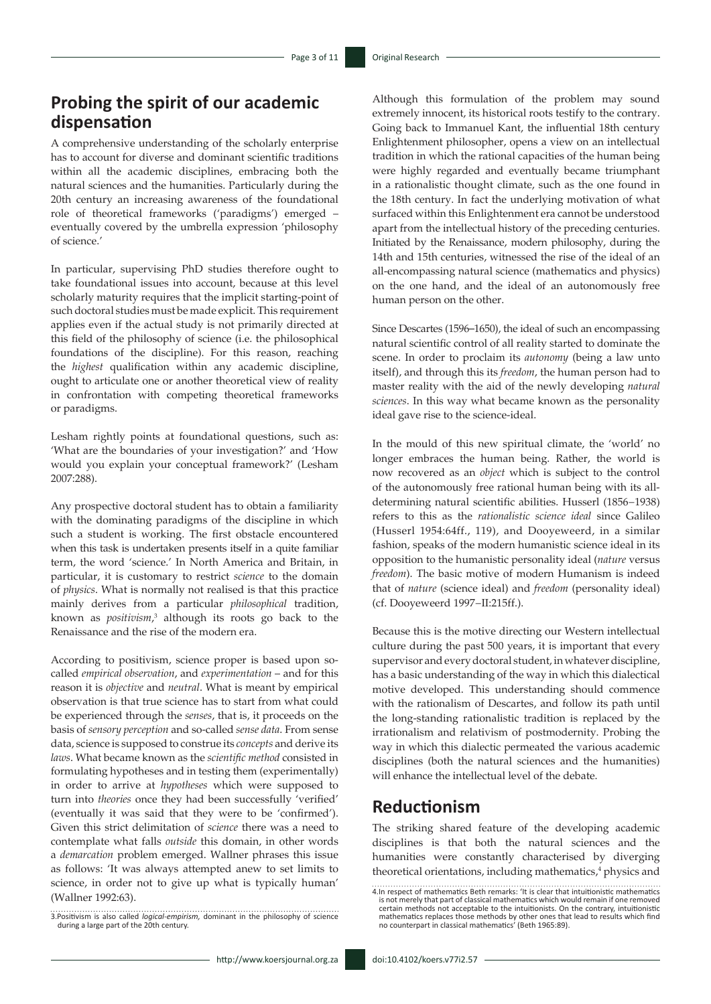# **Probing the spirit of our academic dispensation**

A comprehensive understanding of the scholarly enterprise has to account for diverse and dominant scientific traditions within all the academic disciplines, embracing both the natural sciences and the humanities. Particularly during the 20th century an increasing awareness of the foundational role of theoretical frameworks ('paradigms') emerged – eventually covered by the umbrella expression 'philosophy of science.'

In particular, supervising PhD studies therefore ought to take foundational issues into account, because at this level scholarly maturity requires that the implicit starting-point of such doctoral studies must be made explicit. This requirement applies even if the actual study is not primarily directed at this field of the philosophy of science (i.e. the philosophical foundations of the discipline). For this reason, reaching the *highest* qualification within any academic discipline, ought to articulate one or another theoretical view of reality in confrontation with competing theoretical frameworks or paradigms.

Lesham rightly points at foundational questions, such as: 'What are the boundaries of your investigation?' and 'How would you explain your conceptual framework?' (Lesham 2007:288).

Any prospective doctoral student has to obtain a familiarity with the dominating paradigms of the discipline in which such a student is working. The first obstacle encountered when this task is undertaken presents itself in a quite familiar term, the word 'science.' In North America and Britain, in particular, it is customary to restrict *science* to the domain of *physics*. What is normally not realised is that this practice mainly derives from a particular *philosophical* tradition, known as *positivism*,<sup>3</sup> although its roots go back to the Renaissance and the rise of the modern era.

According to positivism, science proper is based upon socalled *empirical observation*, and *experimentation* – and for this reason it is *objective* and *neutral*. What is meant by empirical observation is that true science has to start from what could be experienced through the *senses*, that is, it proceeds on the basis of *sensory perception* and so-called *sense data*. From sense data, science is supposed to construe its *concepts* and derive its *laws*. What became known as the *scientific method* consisted in formulating hypotheses and in testing them (experimentally) in order to arrive at *hypotheses* which were supposed to turn into *theories* once they had been successfully 'verified' (eventually it was said that they were to be 'confirmed'). Given this strict delimitation of *science* there was a need to contemplate what falls *outside* this domain, in other words a *demarcation* problem emerged. Wallner phrases this issue as follows: 'It was always attempted anew to set limits to science, in order not to give up what is typically human' (Wallner 1992:63).

Although this formulation of the problem may sound extremely innocent, its historical roots testify to the contrary. Going back to Immanuel Kant, the influential 18th century Enlightenment philosopher, opens a view on an intellectual tradition in which the rational capacities of the human being were highly regarded and eventually became triumphant in a rationalistic thought climate, such as the one found in the 18th century. In fact the underlying motivation of what surfaced within this Enlightenment era cannot be understood apart from the intellectual history of the preceding centuries. Initiated by the Renaissance, modern philosophy, during the 14th and 15th centuries, witnessed the rise of the ideal of an all-encompassing natural science (mathematics and physics) on the one hand, and the ideal of an autonomously free human person on the other.

Since Descartes (1596–1650), the ideal of such an encompassing natural scientific control of all reality started to dominate the scene. In order to proclaim its *autonomy* (being a law unto itself), and through this its *freedom*, the human person had to master reality with the aid of the newly developing *natural sciences*. In this way what became known as the personality ideal gave rise to the science-ideal.

In the mould of this new spiritual climate, the 'world' no longer embraces the human being. Rather, the world is now recovered as an *object* which is subject to the control of the autonomously free rational human being with its alldetermining natural scientific abilities. Husserl (1856−1938) refers to this as the *rationalistic science ideal* since Galileo (Husserl 1954:64ff., 119), and Dooyeweerd, in a similar fashion, speaks of the modern humanistic science ideal in its opposition to the humanistic personality ideal (*nature* versus *freedom*). The basic motive of modern Humanism is indeed that of *nature* (science ideal) and *freedom* (personality ideal) (cf. Dooyeweerd 1997−II:215ff.).

Because this is the motive directing our Western intellectual culture during the past 500 years, it is important that every supervisor and every doctoral student, in whatever discipline, has a basic understanding of the way in which this dialectical motive developed. This understanding should commence with the rationalism of Descartes, and follow its path until the long-standing rationalistic tradition is replaced by the irrationalism and relativism of postmodernity. Probing the way in which this dialectic permeated the various academic disciplines (both the natural sciences and the humanities) will enhance the intellectual level of the debate.

#### **Reductionism**

The striking shared feature of the developing academic disciplines is that both the natural sciences and the humanities were constantly characterised by diverging theoretical orientations, including mathematics,<sup>4</sup> physics and

<sup>3.</sup>Positivism is also called *logical-empirism,* dominant in the philosophy of science during a large part of the 20th century.

<sup>4.</sup>In respect of mathematics Beth remarks: 'It is clear that intuitionistic mathematics<br>is not merely that part of classical mathematics which would remain if one removed<br>certain methods not acceptable to the intuitionists.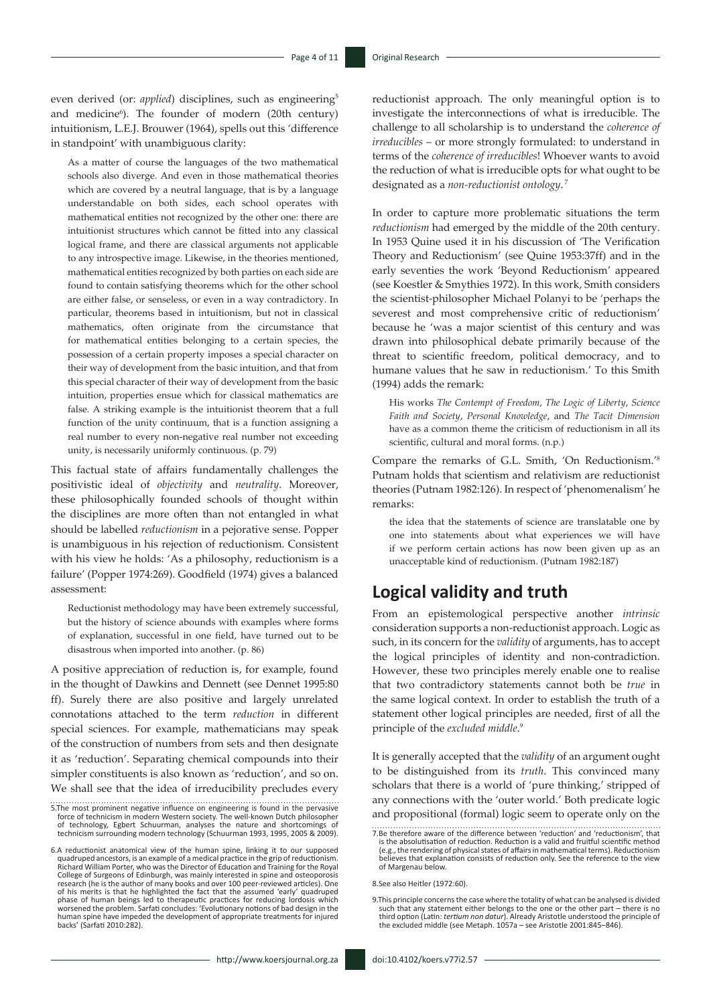even derived (or: *applied*) disciplines, such as engineering<sup>5</sup> and medicine<sup>6</sup>). The founder of modern (20th century) intuitionism, L.E.J. Brouwer (1964), spells out this 'difference in standpoint' with unambiguous clarity:

As a matter of course the languages of the two mathematical schools also diverge. And even in those mathematical theories which are covered by a neutral language, that is by a language understandable on both sides, each school operates with mathematical entities not recognized by the other one: there are intuitionist structures which cannot be fitted into any classical logical frame, and there are classical arguments not applicable to any introspective image. Likewise, in the theories mentioned, mathematical entities recognized by both parties on each side are found to contain satisfying theorems which for the other school are either false, or senseless, or even in a way contradictory. In particular, theorems based in intuitionism, but not in classical mathematics, often originate from the circumstance that for mathematical entities belonging to a certain species, the possession of a certain property imposes a special character on their way of development from the basic intuition, and that from this special character of their way of development from the basic intuition, properties ensue which for classical mathematics are false. A striking example is the intuitionist theorem that a full function of the unity continuum, that is a function assigning a real number to every non-negative real number not exceeding unity, is necessarily uniformly continuous. (p. 79)

This factual state of affairs fundamentally challenges the positivistic ideal of *objectivity* and *neutrality*. Moreover, these philosophically founded schools of thought within the disciplines are more often than not entangled in what should be labelled *reductionism* in a pejorative sense. Popper is unambiguous in his rejection of reductionism. Consistent with his view he holds: 'As a philosophy, reductionism is a failure' (Popper 1974:269). Goodfield (1974) gives a balanced assessment:

Reductionist methodology may have been extremely successful, but the history of science abounds with examples where forms of explanation, successful in one field, have turned out to be disastrous when imported into another. (p. 86)

A positive appreciation of reduction is, for example, found in the thought of Dawkins and Dennett (see Dennet 1995:80 ff). Surely there are also positive and largely unrelated connotations attached to the term *reduction* in different special sciences. For example, mathematicians may speak of the construction of numbers from sets and then designate it as 'reduction'. Separating chemical compounds into their simpler constituents is also known as 'reduction', and so on. We shall see that the idea of irreducibility precludes every

reductionist approach. The only meaningful option is to investigate the interconnections of what is irreducible. The challenge to all scholarship is to understand the *coherence of irreducibles* – or more strongly formulated: to understand in terms of the *coherence of irreducibles*! Whoever wants to avoid the reduction of what is irreducible opts for what ought to be designated as a *non-reductionist ontology*. <sup>7</sup>

In order to capture more problematic situations the term *reductionism* had emerged by the middle of the 20th century. In 1953 Quine used it in his discussion of 'The Verification Theory and Reductionism' (see Quine 1953:37ff) and in the early seventies the work 'Beyond Reductionism' appeared (see Koestler & Smythies 1972). In this work, Smith considers the scientist-philosopher Michael Polanyi to be 'perhaps the severest and most comprehensive critic of reductionism' because he 'was a major scientist of this century and was drawn into philosophical debate primarily because of the threat to scientific freedom, political democracy, and to humane values that he saw in reductionism.' To this Smith (1994) adds the remark:

His works *The Contempt of Freedom*, *The Logic of Liberty*, *Science Faith and Society*, *Personal Knowledge*, and *The Tacit Dimension* have as a common theme the criticism of reductionism in all its scientific, cultural and moral forms. (n.p.)

Compare the remarks of G.L. Smith, 'On Reductionism.'8 Putnam holds that scientism and relativism are reductionist theories (Putnam 1982:126). In respect of 'phenomenalism' he remarks:

the idea that the statements of science are translatable one by one into statements about what experiences we will have if we perform certain actions has now been given up as an unacceptable kind of reductionism. (Putnam 1982:187)

# **Logical validity and truth**

From an epistemological perspective another *intrinsic* consideration supports a non-reductionist approach. Logic as such, in its concern for the *validity* of arguments, has to accept the logical principles of identity and non-contradiction. However, these two principles merely enable one to realise that two contradictory statements cannot both be *true* in the same logical context. In order to establish the truth of a statement other logical principles are needed, first of all the principle of the *excluded middle*. 9

It is generally accepted that the *validity* of an argument ought to be distinguished from its *truth*. This convinced many scholars that there is a world of 'pure thinking,' stripped of any connections with the 'outer world.' Both predicate logic and propositional (formal) logic seem to operate only on the

8.See also Heitler (1972:60).

<sup>5.</sup>The most prominent negative influence on engineering is found in the pervasive<br>force of technicism in modern Western society. The well-known Dutch philosopher<br>of technology, Egbert Schuurman, analyses the nature and shor

<sup>6.</sup>A reductionist anatomical view of the human spine, linking it to our supposed quadruped ancestors, is an example of a medical practice in the grip of reductionism. Richard William Porter, who was the Director of Education and Training for the Royal College of Surgeons of Edinburgh, was mainly interested in spine and osteoporosis research (he is the author of many books and over 100 peer-reviewed articles). One of his merits is that he highlighted the fact that the assumed 'early' quadruped<br>phase of human beings led to therapeutic practices for reducing lordosis which<br>worsened the problem. Sarfati concludes: 'Evolutionary notions human spine have impeded the development of appropriate treatments for injured backs' (Sarfati 2010:282).

<sup>7.</sup>Be therefore aware of the difference between 'reduction' and 'reductionism', that is the absolutisation of reduction. Reduction is a valid and fruitful scientific method<br>(e.g., the rendering of physical states of affairs in mathematical terms). Reductionism<br>believes that explanation consists of reductio of Margenau below.

<sup>9.</sup>This principle concerns the case where the totality of what can be analysed is divided such that any statement either belongs to the one or the other part - there is no<br>third option (Latin: *tertium non datur*). Already Aristotle understood the principle of<br>the excluded middle (see Metaph. 1057a - see Aristo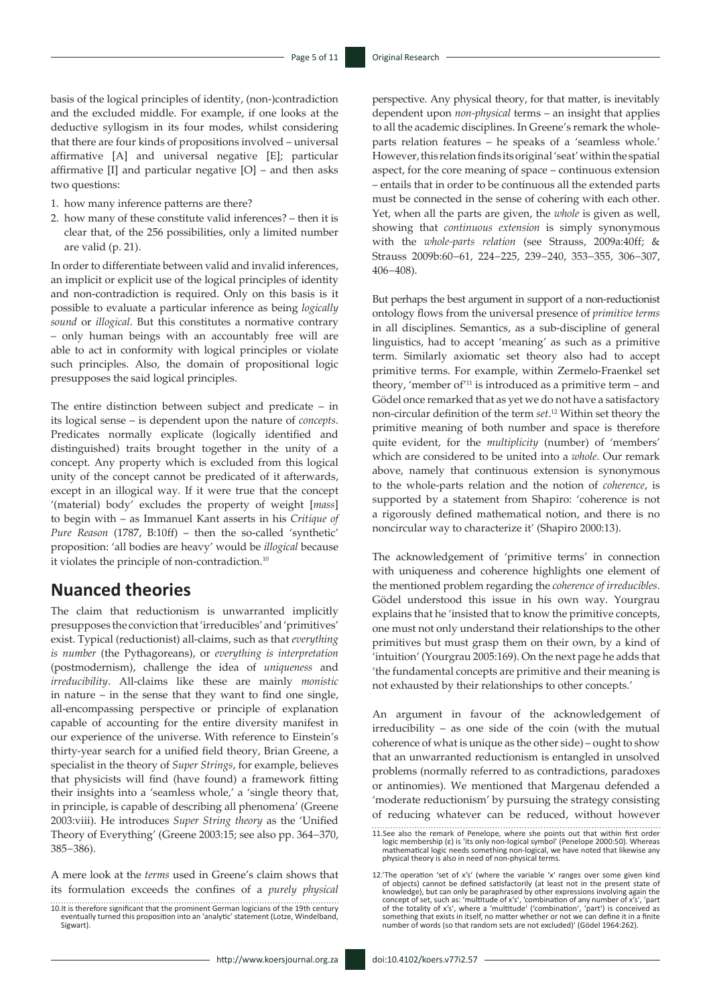basis of the logical principles of identity, (non-)contradiction and the excluded middle. For example, if one looks at the deductive syllogism in its four modes, whilst considering that there are four kinds of propositions involved – universal affirmative [A] and universal negative [E]; particular affirmative [I] and particular negative [O] – and then asks two questions:

- 1. how many inference patterns are there?
- 2. how many of these constitute valid inferences? then it is clear that, of the 256 possibilities, only a limited number are valid (p. 21).

In order to differentiate between valid and invalid inferences, an implicit or explicit use of the logical principles of identity and non-contradiction is required. Only on this basis is it possible to evaluate a particular inference as being *logically sound* or *illogical*. But this constitutes a normative contrary – only human beings with an accountably free will are able to act in conformity with logical principles or violate such principles. Also, the domain of propositional logic presupposes the said logical principles.

The entire distinction between subject and predicate – in its logical sense – is dependent upon the nature of *concepts*. Predicates normally explicate (logically identified and distinguished) traits brought together in the unity of a concept. Any property which is excluded from this logical unity of the concept cannot be predicated of it afterwards, except in an illogical way. If it were true that the concept '(material) body' excludes the property of weight [*mass*] to begin with – as Immanuel Kant asserts in his *Critique of Pure Reason* (1787, B:10ff) – then the so-called 'synthetic' proposition: 'all bodies are heavy' would be *illogical* because it violates the principle of non-contradiction.10

#### **Nuanced theories**

The claim that reductionism is unwarranted implicitly presupposes the conviction that 'irreducibles' and 'primitives' exist. Typical (reductionist) all-claims, such as that *everything is number* (the Pythagoreans), or *everything is interpretation* (postmodernism), challenge the idea of *uniqueness* and *irreducibility*. All-claims like these are mainly *monistic* in nature – in the sense that they want to find one single, all-encompassing perspective or principle of explanation capable of accounting for the entire diversity manifest in our experience of the universe. With reference to Einstein's thirty-year search for a unified field theory, Brian Greene, a specialist in the theory of *Super Strings*, for example, believes that physicists will find (have found) a framework fitting their insights into a 'seamless whole,' a 'single theory that, in principle, is capable of describing all phenomena' (Greene 2003:viii). He introduces *Super String theory* as the 'Unified Theory of Everything' (Greene 2003:15; see also pp. 364−370, 385−386).

A mere look at the *terms* used in Greene's claim shows that its formulation exceeds the confines of a *purely physical*

http://www.koersjournal.org.za doi:10.4102/koers.v77i2.57 -

perspective. Any physical theory, for that matter, is inevitably dependent upon *non-physical* terms – an insight that applies to all the academic disciplines. In Greene's remark the wholeparts relation features – he speaks of a 'seamless whole.' However, this relation finds its original 'seat' within the spatial aspect, for the core meaning of space – continuous extension – entails that in order to be continuous all the extended parts must be connected in the sense of cohering with each other. Yet, when all the parts are given, the *whole* is given as well, showing that *continuous extension* is simply synonymous with the *whole-parts relation* (see Strauss, 2009a:40ff; & Strauss 2009b:60−61, 224−225, 239−240, 353−355, 306−307, 406−408).

But perhaps the best argument in support of a non-reductionist ontology flows from the universal presence of *primitive terms* in all disciplines. Semantics, as a sub-discipline of general linguistics, had to accept 'meaning' as such as a primitive term. Similarly axiomatic set theory also had to accept primitive terms. For example, within Zermelo-Fraenkel set theory, 'member of $11$  is introduced as a primitive term – and Gödel once remarked that as yet we do not have a satisfactory non-circular definition of the term *set*. 12 Within set theory the primitive meaning of both number and space is therefore quite evident, for the *multiplicity* (number) of 'members' which are considered to be united into a *whole*. Our remark above, namely that continuous extension is synonymous to the whole-parts relation and the notion of *coherence*, is supported by a statement from Shapiro: 'coherence is not a rigorously defined mathematical notion, and there is no noncircular way to characterize it' (Shapiro 2000:13).

The acknowledgement of 'primitive terms' in connection with uniqueness and coherence highlights one element of the mentioned problem regarding the *coherence of irreducibles*. Gödel understood this issue in his own way. Yourgrau explains that he 'insisted that to know the primitive concepts, one must not only understand their relationships to the other primitives but must grasp them on their own, by a kind of 'intuition' (Yourgrau 2005:169). On the next page he adds that 'the fundamental concepts are primitive and their meaning is not exhausted by their relationships to other concepts.'

An argument in favour of the acknowledgement of irreducibility – as one side of the coin (with the mutual coherence of what is unique as the other side) – ought to show that an unwarranted reductionism is entangled in unsolved problems (normally referred to as contradictions, paradoxes or antinomies). We mentioned that Margenau defended a 'moderate reductionism' by pursuing the strategy consisting of reducing whatever can be reduced, without however

<sup>10.</sup>It is therefore significant that the prominent German logicians of the 19th century eventually turned this proposition into an 'analytic' statement (Lotze, Windelband, Sigwart).

<sup>11.</sup>See also the remark of Penelope, where she points out that within first order logic membership (ε) is 'its only non-logical symbol' (Penelope 2000:50). Whereas mathematical logic needs something non-logical, we have noted that likewise any physical theory is also in need of non-physical terms.

<sup>12.&#</sup>x27;The operation 'set of x's' (where the variable 'x' ranges over some given kind of objects) cannot be defined satisfactorily (at least not in the present state of knowledge), but can only be paraphrased by other expressions involving again the concept of set, such as: 'multitude of x's', 'combination of any number of x's', 'part of the totality of x's', 'part of the totality of som number of words (so that random sets are not excluded)ʹ (Gödel 1964:262).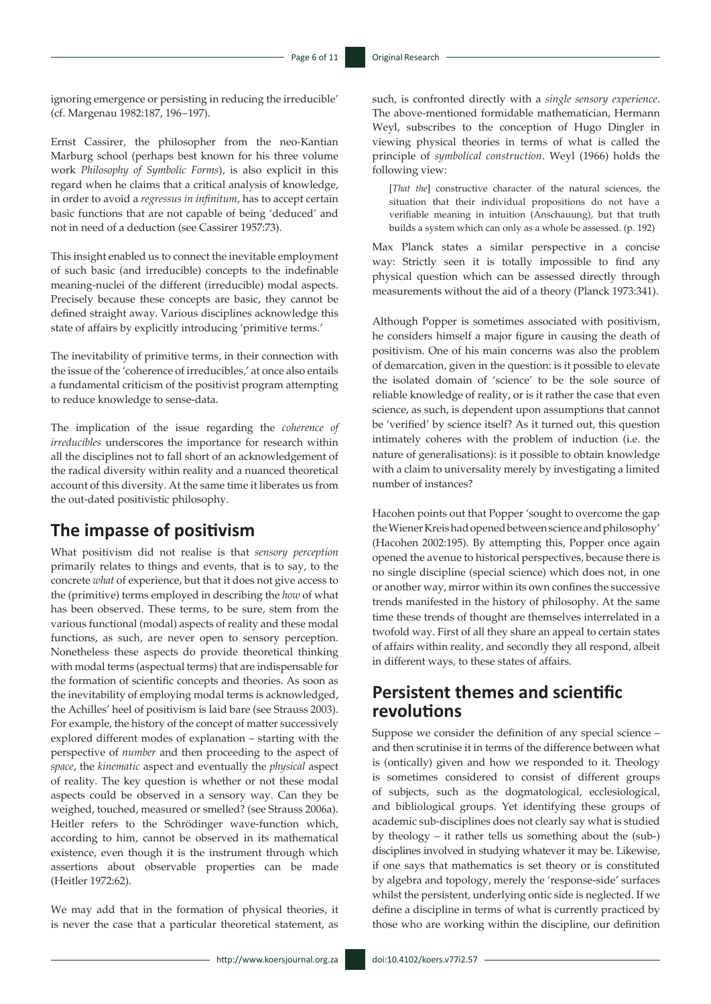ignoring emergence or persisting in reducing the irreducible' (cf. Margenau 1982:187, 196−197).

Ernst Cassirer, the philosopher from the neo-Kantian Marburg school (perhaps best known for his three volume work *Philosophy of Symbolic Forms*), is also explicit in this regard when he claims that a critical analysis of knowledge, in order to avoid a *regressus in infinitum*, has to accept certain basic functions that are not capable of being 'deduced' and not in need of a deduction (see Cassirer 1957:73).

This insight enabled us to connect the inevitable employment of such basic (and irreducible) concepts to the indefinable meaning-nuclei of the different (irreducible) modal aspects. Precisely because these concepts are basic, they cannot be defined straight away. Various disciplines acknowledge this state of affairs by explicitly introducing 'primitive terms.'

The inevitability of primitive terms, in their connection with the issue of the 'coherence of irreducibles,' at once also entails a fundamental criticism of the positivist program attempting to reduce knowledge to sense-data.

The implication of the issue regarding the *coherence of irreducibles* underscores the importance for research within all the disciplines not to fall short of an acknowledgement of the radical diversity within reality and a nuanced theoretical account of this diversity. At the same time it liberates us from the out-dated positivistic philosophy.

# **The impasse of positivism**

What positivism did not realise is that *sensory perception* primarily relates to things and events, that is to say, to the concrete *what* of experience, but that it does not give access to the (primitive) terms employed in describing the *how* of what has been observed. These terms, to be sure, stem from the various functional (modal) aspects of reality and these modal functions, as such, are never open to sensory perception. Nonetheless these aspects do provide theoretical thinking with modal terms (aspectual terms) that are indispensable for the formation of scientific concepts and theories. As soon as the inevitability of employing modal terms is acknowledged, the Achilles' heel of positivism is laid bare (see Strauss 2003). For example, the history of the concept of matter successively explored different modes of explanation – starting with the perspective of *number* and then proceeding to the aspect of *space*, the *kinematic* aspect and eventually the *physical* aspect of reality. The key question is whether or not these modal aspects could be observed in a sensory way. Can they be weighed, touched, measured or smelled? (see Strauss 2006a). Heitler refers to the Schrödinger wave-function which, according to him, cannot be observed in its mathematical existence, even though it is the instrument through which assertions about observable properties can be made (Heitler 1972:62).

We may add that in the formation of physical theories, it is never the case that a particular theoretical statement, as

such, is confronted directly with a *single sensory experience*. The above-mentioned formidable mathematician, Hermann Weyl, subscribes to the conception of Hugo Dingler in viewing physical theories in terms of what is called the principle of *symbolical construction*. Weyl (1966) holds the following view:

[*That the*] constructive character of the natural sciences, the situation that their individual propositions do not have a verifiable meaning in intuition (Anschauung), but that truth builds a system which can only as a whole be assessed. (p. 192)

Max Planck states a similar perspective in a concise way: Strictly seen it is totally impossible to find any physical question which can be assessed directly through measurements without the aid of a theory (Planck 1973:341).

Although Popper is sometimes associated with positivism, he considers himself a major figure in causing the death of positivism. One of his main concerns was also the problem of demarcation, given in the question: is it possible to elevate the isolated domain of 'science' to be the sole source of reliable knowledge of reality, or is it rather the case that even science, as such, is dependent upon assumptions that cannot be 'verified' by science itself? As it turned out, this question intimately coheres with the problem of induction (i.e. the nature of generalisations): is it possible to obtain knowledge with a claim to universality merely by investigating a limited number of instances?

Hacohen points out that Popper 'sought to overcome the gap the Wiener Kreis had opened between science and philosophy' (Hacohen 2002:195). By attempting this, Popper once again opened the avenue to historical perspectives, because there is no single discipline (special science) which does not, in one or another way, mirror within its own confines the successive trends manifested in the history of philosophy. At the same time these trends of thought are themselves interrelated in a twofold way. First of all they share an appeal to certain states of affairs within reality, and secondly they all respond, albeit in different ways, to these states of affairs.

# **Persistent themes and scientific revolutions**

Suppose we consider the definition of any special science – and then scrutinise it in terms of the difference between what is (ontically) given and how we responded to it. Theology is sometimes considered to consist of different groups of subjects, such as the dogmatological, ecclesiological, and bibliological groups. Yet identifying these groups of academic sub-disciplines does not clearly say what is studied by theology – it rather tells us something about the (sub-) disciplines involved in studying whatever it may be. Likewise, if one says that mathematics is set theory or is constituted by algebra and topology, merely the 'response-side' surfaces whilst the persistent, underlying ontic side is neglected. If we define a discipline in terms of what is currently practiced by those who are working within the discipline, our definition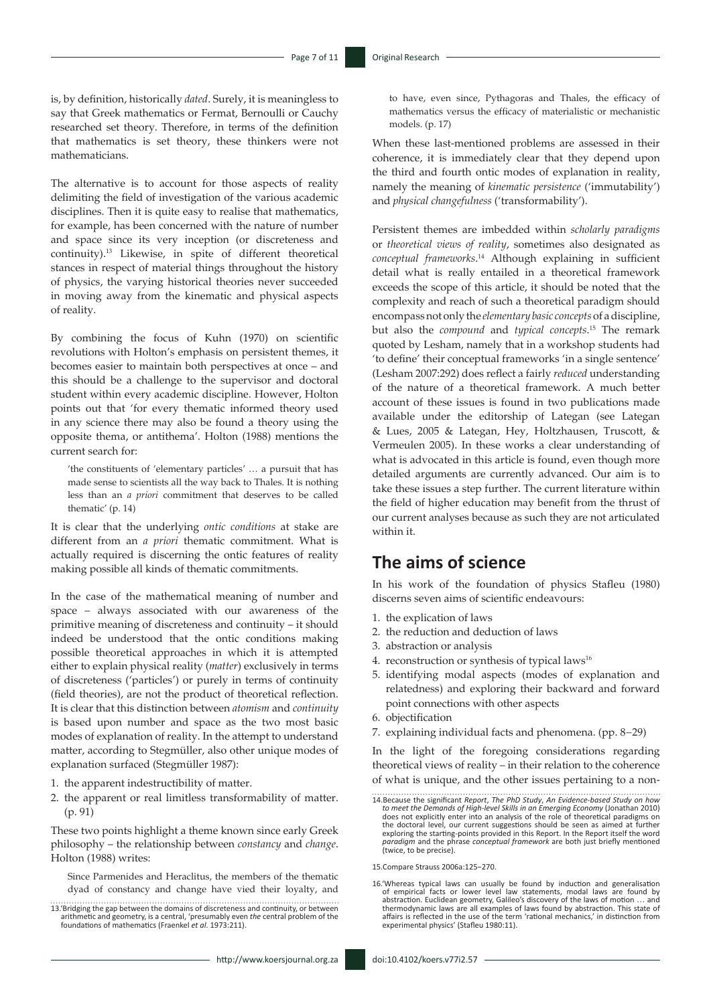is, by definition, historically *dated*. Surely, it is meaningless to say that Greek mathematics or Fermat, Bernoulli or Cauchy researched set theory. Therefore, in terms of the definition that mathematics is set theory, these thinkers were not mathematicians.

The alternative is to account for those aspects of reality delimiting the field of investigation of the various academic disciplines. Then it is quite easy to realise that mathematics, for example, has been concerned with the nature of number and space since its very inception (or discreteness and continuity).13 Likewise, in spite of different theoretical stances in respect of material things throughout the history of physics, the varying historical theories never succeeded in moving away from the kinematic and physical aspects of reality.

By combining the focus of Kuhn (1970) on scientific revolutions with Holton's emphasis on persistent themes, it becomes easier to maintain both perspectives at once – and this should be a challenge to the supervisor and doctoral student within every academic discipline. However, Holton points out that 'for every thematic informed theory used in any science there may also be found a theory using the opposite thema, or antithema'. Holton (1988) mentions the current search for:

'the constituents of 'elementary particles' … a pursuit that has made sense to scientists all the way back to Thales. It is nothing less than an *a priori* commitment that deserves to be called thematic' (p. 14)

It is clear that the underlying *ontic conditions* at stake are different from an *a priori* thematic commitment. What is actually required is discerning the ontic features of reality making possible all kinds of thematic commitments.

In the case of the mathematical meaning of number and space – always associated with our awareness of the primitive meaning of discreteness and continuity – it should indeed be understood that the ontic conditions making possible theoretical approaches in which it is attempted either to explain physical reality (*matter*) exclusively in terms of discreteness ('particles') or purely in terms of continuity (field theories), are not the product of theoretical reflection. It is clear that this distinction between *atomism* and *continuity* is based upon number and space as the two most basic modes of explanation of reality. In the attempt to understand matter, according to Stegmüller, also other unique modes of explanation surfaced (Stegmüller 1987):

- 1. the apparent indestructibility of matter.
- 2. the apparent or real limitless transformability of matter. (p. 91)

These two points highlight a theme known since early Greek philosophy – the relationship between *constancy* and *change*. Holton (1988) writes:

Since Parmenides and Heraclitus, the members of the thematic dyad of constancy and change have vied their loyalty, and to have, even since, Pythagoras and Thales, the efficacy of mathematics versus the efficacy of materialistic or mechanistic models. (p. 17)

When these last-mentioned problems are assessed in their coherence, it is immediately clear that they depend upon the third and fourth ontic modes of explanation in reality, namely the meaning of *kinematic persistence* ('immutability') and *physical changefulness* ('transformability').

Persistent themes are imbedded within *scholarly paradigms* or *theoretical views of reality*, sometimes also designated as *conceptual frameworks*. 14 Although explaining in sufficient detail what is really entailed in a theoretical framework exceeds the scope of this article, it should be noted that the complexity and reach of such a theoretical paradigm should encompass not only the *elementary basic concepts* of a discipline, but also the *compound* and *typical concepts*. 15 The remark quoted by Lesham, namely that in a workshop students had 'to define' their conceptual frameworks 'in a single sentence' (Lesham 2007:292) does reflect a fairly *reduced* understanding of the nature of a theoretical framework. A much better account of these issues is found in two publications made available under the editorship of Lategan (see Lategan & Lues, 2005 & Lategan, Hey, Holtzhausen, Truscott, & Vermeulen 2005). In these works a clear understanding of what is advocated in this article is found, even though more detailed arguments are currently advanced. Our aim is to take these issues a step further. The current literature within the field of higher education may benefit from the thrust of our current analyses because as such they are not articulated within it.

### **The aims of science**

In his work of the foundation of physics Stafleu (1980) discerns seven aims of scientific endeavours:

- 1. the explication of laws
- 2. the reduction and deduction of laws
- 3. abstraction or analysis
- 4. reconstruction or synthesis of typical laws<sup>16</sup>
- 5. identifying modal aspects (modes of explanation and relatedness) and exploring their backward and forward point connections with other aspects
- 6. objectification
- 7. explaining individual facts and phenomena. (pp. 8−29)

In the light of the foregoing considerations regarding theoretical views of reality – in their relation to the coherence of what is unique, and the other issues pertaining to a non-

15.Compare Strauss 2006a:125−270.

16.'Whereas typical laws can usually be found by induction and generalisation of empirical facts or lower level law statements, modal laws are found by<br>abstraction. Euclidean geometry, Galileo's discovery of the laws of motion ... and<br>thermodynamic laws are all examples of laws found by abstraction. experimental physics' (Stafleu 1980:11).

<sup>13.&#</sup>x27;Bridging the gap between the domains of discreteness and continuity, or between arithmetic and geometry, is a central, 'presumably even *the* central problem of the foundations of mathematics (Fraenkel *et al*. 1973:211).

<sup>14.</sup>Because the significant *Report*, *The PhD Study*, *An Evidence-based Study on how*  to meet the Demands of High-level Skills in an Emerging Economy (Jonathan 2010)<br>does not explicitly enter into an analysis of the role of theoretical paradigms on the doctoral level, our current suggestions should be seen as aimed at further exploring the starting-points provided in this Report. In the Report itself the word *paradigm* and the phrase *conceptual framework* are both just briefly mentioned (twice, to be precise).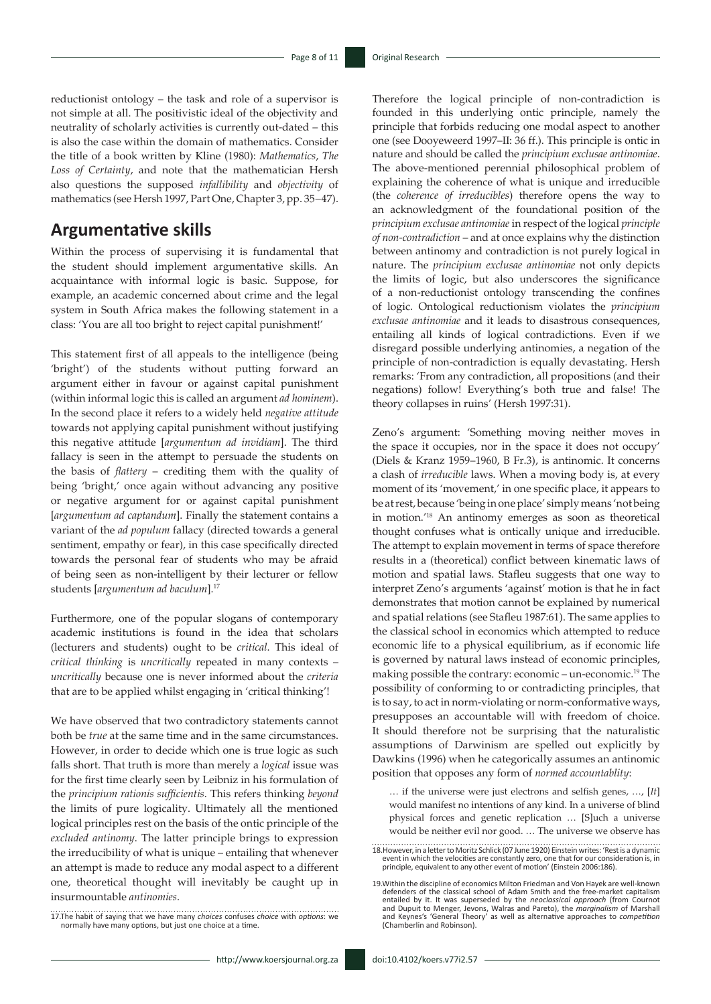reductionist ontology – the task and role of a supervisor is not simple at all. The positivistic ideal of the objectivity and neutrality of scholarly activities is currently out-dated – this is also the case within the domain of mathematics. Consider the title of a book written by Kline (1980): *Mathematics*, *The Loss of Certainty*, and note that the mathematician Hersh also questions the supposed *infallibility* and *objectivity* of mathematics (see Hersh 1997, Part One, Chapter 3, pp. 35−47).

### **Argumentative skills**

Within the process of supervising it is fundamental that the student should implement argumentative skills. An acquaintance with informal logic is basic. Suppose, for example, an academic concerned about crime and the legal system in South Africa makes the following statement in a class: 'You are all too bright to reject capital punishment!'

This statement first of all appeals to the intelligence (being 'bright') of the students without putting forward an argument either in favour or against capital punishment (within informal logic this is called an argument *ad hominem*). In the second place it refers to a widely held *negative attitude* towards not applying capital punishment without justifying this negative attitude [*argumentum ad invidiam*]. The third fallacy is seen in the attempt to persuade the students on the basis of *flattery* – crediting them with the quality of being 'bright,' once again without advancing any positive or negative argument for or against capital punishment [*argumentum ad captandum*]. Finally the statement contains a variant of the *ad populum* fallacy (directed towards a general sentiment, empathy or fear), in this case specifically directed towards the personal fear of students who may be afraid of being seen as non-intelligent by their lecturer or fellow students [*argumentum ad baculum*].17

Furthermore, one of the popular slogans of contemporary academic institutions is found in the idea that scholars (lecturers and students) ought to be *critical*. This ideal of *critical thinking* is *uncritically* repeated in many contexts – *uncritically* because one is never informed about the *criteria* that are to be applied whilst engaging in 'critical thinking'!

We have observed that two contradictory statements cannot both be *true* at the same time and in the same circumstances. However, in order to decide which one is true logic as such falls short. That truth is more than merely a *logical* issue was for the first time clearly seen by Leibniz in his formulation of the *principium rationis sufficientis*. This refers thinking *beyond* the limits of pure logicality. Ultimately all the mentioned logical principles rest on the basis of the ontic principle of the *excluded antinomy*. The latter principle brings to expression the irreducibility of what is unique – entailing that whenever an attempt is made to reduce any modal aspect to a different one, theoretical thought will inevitably be caught up in insurmountable *antinomies*.

Therefore the logical principle of non-contradiction is founded in this underlying ontic principle, namely the principle that forbids reducing one modal aspect to another one (see Dooyeweerd 1997–II: 36 ff.). This principle is ontic in nature and should be called the *principium exclusae antinomiae*. The above-mentioned perennial philosophical problem of explaining the coherence of what is unique and irreducible (the *coherence of irreducibles*) therefore opens the way to an acknowledgment of the foundational position of the *principium exclusae antinomiae* in respect of the logical *principle of non-contradiction* – and at once explains why the distinction between antinomy and contradiction is not purely logical in nature. The *principium exclusae antinomiae* not only depicts the limits of logic, but also underscores the significance of a non-reductionist ontology transcending the confines of logic. Ontological reductionism violates the *principium exclusae antinomiae* and it leads to disastrous consequences, entailing all kinds of logical contradictions. Even if we disregard possible underlying antinomies, a negation of the principle of non-contradiction is equally devastating. Hersh remarks: 'From any contradiction, all propositions (and their negations) follow! Everything's both true and false! The theory collapses in ruins' (Hersh 1997:31).

Zeno's argument: 'Something moving neither moves in the space it occupies, nor in the space it does not occupy' (Diels & Kranz 1959–1960, B Fr.3), is antinomic. It concerns a clash of *irreducible* laws. When a moving body is, at every moment of its 'movement,' in one specific place, it appears to be at rest, because 'being in one place' simply means 'not being in motion.'18 An antinomy emerges as soon as theoretical thought confuses what is ontically unique and irreducible. The attempt to explain movement in terms of space therefore results in a (theoretical) conflict between kinematic laws of motion and spatial laws. Stafleu suggests that one way to interpret Zeno's arguments 'against' motion is that he in fact demonstrates that motion cannot be explained by numerical and spatial relations (see Stafleu 1987:61). The same applies to the classical school in economics which attempted to reduce economic life to a physical equilibrium, as if economic life is governed by natural laws instead of economic principles, making possible the contrary: economic – un-economic.19 The possibility of conforming to or contradicting principles, that is to say, to act in norm-violating or norm-conformative ways, presupposes an accountable will with freedom of choice. It should therefore not be surprising that the naturalistic assumptions of Darwinism are spelled out explicitly by Dawkins (1996) when he categorically assumes an antinomic position that opposes any form of *normed accountablity*:

… if the universe were just electrons and selfish genes, …, [*It*] would manifest no intentions of any kind. In a universe of blind physical forces and genetic replication … [S]uch a universe would be neither evil nor good. … The universe we observe has

<sup>17.</sup>The habit of saying that we have many *choices* confuses *choice* with *options*: we normally have many options, but just one choice at a time.

<sup>18.</sup>However, in a letter to Moritz Schlick (07 June 1920) Einstein writes: 'Rest is a dynamic event in which the velocities are constantly zero, one that for our consideration is, in principle, equivalent to any other event of motion' (Einstein 2006:186).

<sup>19.</sup>Within the discipline of economics Milton Friedman and Von Hayek are well-known defenders of the classical school of Adam Smith and the free-market capitalism<br>entailed by it. It was superseded by the *neoclassical approach (from Cournot*<br>and Dupuit to Menger, Jevons, Walras and Pareto), the *marginali* and Keynes's 'General Theory' as well as alternative approaches to *competition* (Chamberlin and Robinson).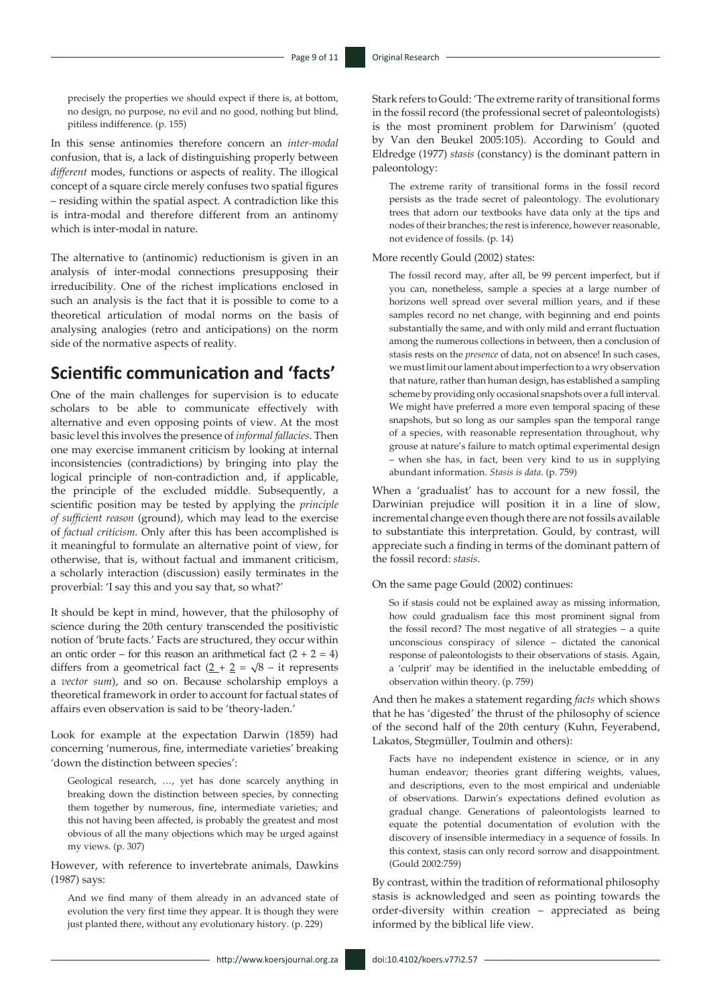precisely the properties we should expect if there is, at bottom, no design, no purpose, no evil and no good, nothing but blind, pitiless indifference. (p. 155)

In this sense antinomies therefore concern an *inter-modal* confusion, that is, a lack of distinguishing properly between *different* modes, functions or aspects of reality. The illogical concept of a square circle merely confuses two spatial figures – residing within the spatial aspect. A contradiction like this is intra-modal and therefore different from an antinomy which is inter-modal in nature.

The alternative to (antinomic) reductionism is given in an analysis of inter-modal connections presupposing their irreducibility. One of the richest implications enclosed in such an analysis is the fact that it is possible to come to a theoretical articulation of modal norms on the basis of analysing analogies (retro and anticipations) on the norm side of the normative aspects of reality.

### **Scientific communication and 'facts'**

One of the main challenges for supervision is to educate scholars to be able to communicate effectively with alternative and even opposing points of view. At the most basic level this involves the presence of *informal fallacies*. Then one may exercise immanent criticism by looking at internal inconsistencies (contradictions) by bringing into play the logical principle of non-contradiction and, if applicable, the principle of the excluded middle. Subsequently, a scientific position may be tested by applying the *principle of sufficient reason* (ground), which may lead to the exercise of *factual criticism*. Only after this has been accomplished is it meaningful to formulate an alternative point of view, for otherwise, that is, without factual and immanent criticism, a scholarly interaction (discussion) easily terminates in the proverbial: 'I say this and you say that, so what?'

It should be kept in mind, however, that the philosophy of science during the 20th century transcended the positivistic notion of 'brute facts.' Facts are structured, they occur within an ontic order – for this reason an arithmetical fact  $(2 + 2 = 4)$ differs from a geometrical fact  $(2 + 2) = \sqrt{8} - i$ t represents a *vector sum*), and so on. Because scholarship employs a theoretical framework in order to account for factual states of affairs even observation is said to be 'theory-laden.'

Look for example at the expectation Darwin (1859) had concerning 'numerous, fine, intermediate varieties' breaking 'down the distinction between species':

Geological research, …, yet has done scarcely anything in breaking down the distinction between species, by connecting them together by numerous, fine, intermediate varieties; and this not having been affected, is probably the greatest and most obvious of all the many objections which may be urged against my views. (p. 307)

However, with reference to invertebrate animals, Dawkins (1987) says:

And we find many of them already in an advanced state of evolution the very first time they appear. It is though they were just planted there, without any evolutionary history. (p. 229)

 $-$  http://www.koersjournal.org.za doi:10.4102/koers.v77i2.57  $-$ 

Stark refers to Gould: 'The extreme rarity of transitional forms in the fossil record (the professional secret of paleontologists) is the most prominent problem for Darwinism' (quoted by Van den Beukel 2005:105). According to Gould and Eldredge (1977) *stasis* (constancy) is the dominant pattern in paleontology:

The extreme rarity of transitional forms in the fossil record persists as the trade secret of paleontology. The evolutionary trees that adorn our textbooks have data only at the tips and nodes of their branches; the rest is inference, however reasonable, not evidence of fossils. (p. 14)

#### More recently Gould (2002) states:

The fossil record may, after all, be 99 percent imperfect, but if you can, nonetheless, sample a species at a large number of horizons well spread over several million years, and if these samples record no net change, with beginning and end points substantially the same, and with only mild and errant fluctuation among the numerous collections in between, then a conclusion of stasis rests on the *presence* of data, not on absence! In such cases, we must limit our lament about imperfection to a wry observation that nature, rather than human design, has established a sampling scheme by providing only occasional snapshots over a full interval. We might have preferred a more even temporal spacing of these snapshots, but so long as our samples span the temporal range of a species, with reasonable representation throughout, why grouse at nature's failure to match optimal experimental design – when she has, in fact, been very kind to us in supplying abundant information. *Stasis is data*. (p. 759)

When a 'gradualist' has to account for a new fossil, the Darwinian prejudice will position it in a line of slow, incremental change even though there are not fossils available to substantiate this interpretation. Gould, by contrast, will appreciate such a finding in terms of the dominant pattern of the fossil record: *stasis*.

On the same page Gould (2002) continues:

So if stasis could not be explained away as missing information, how could gradualism face this most prominent signal from the fossil record? The most negative of all strategies – a quite unconscious conspiracy of silence – dictated the canonical response of paleontologists to their observations of stasis. Again, a 'culprit' may be identified in the ineluctable embedding of observation within theory. (p. 759)

And then he makes a statement regarding *facts* which shows that he has 'digested' the thrust of the philosophy of science of the second half of the 20th century (Kuhn, Feyerabend, Lakatos, Stegmüller, Toulmin and others):

Facts have no independent existence in science, or in any human endeavor; theories grant differing weights, values, and descriptions, even to the most empirical and undeniable of observations. Darwin's expectations defined evolution as gradual change. Generations of paleontologists learned to equate the potential documentation of evolution with the discovery of insensible intermediacy in a sequence of fossils. In this context, stasis can only record sorrow and disappointment. (Gould 2002:759)

By contrast, within the tradition of reformational philosophy stasis is acknowledged and seen as pointing towards the order-diversity within creation – appreciated as being informed by the biblical life view.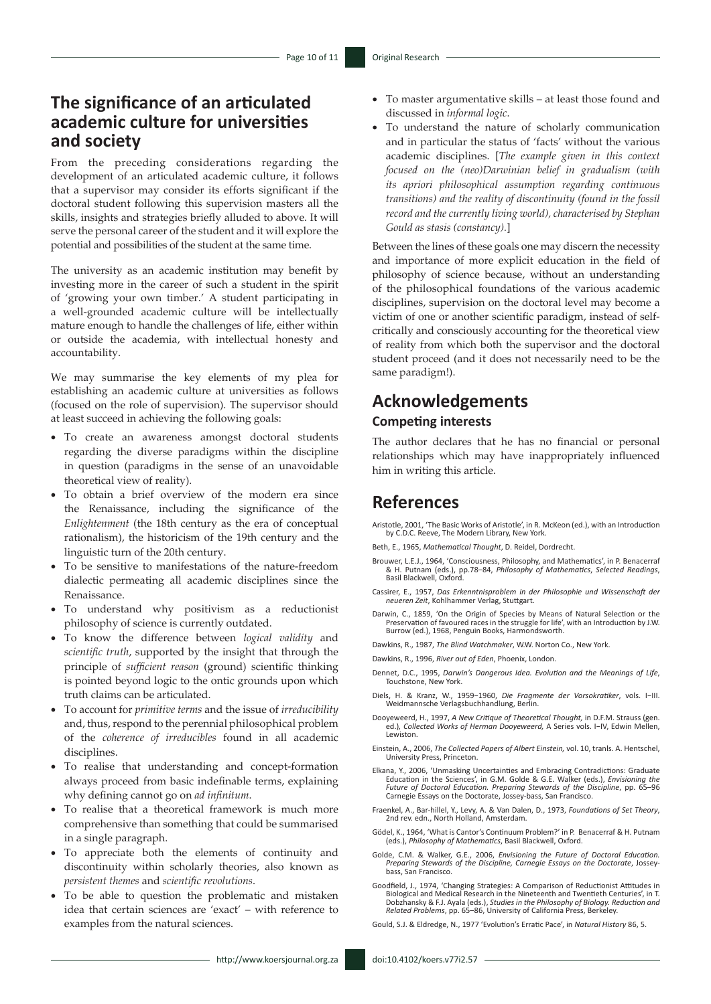# **The significance of an articulated academic culture for universities and society**

From the preceding considerations regarding the development of an articulated academic culture, it follows that a supervisor may consider its efforts significant if the doctoral student following this supervision masters all the skills, insights and strategies briefly alluded to above. It will serve the personal career of the student and it will explore the potential and possibilities of the student at the same time.

The university as an academic institution may benefit by investing more in the career of such a student in the spirit of 'growing your own timber.' A student participating in a well-grounded academic culture will be intellectually mature enough to handle the challenges of life, either within or outside the academia, with intellectual honesty and accountability.

We may summarise the key elements of my plea for establishing an academic culture at universities as follows (focused on the role of supervision). The supervisor should at least succeed in achieving the following goals:

- • To create an awareness amongst doctoral students regarding the diverse paradigms within the discipline in question (paradigms in the sense of an unavoidable theoretical view of reality).
- To obtain a brief overview of the modern era since the Renaissance, including the significance of the *Enlightenment* (the 18th century as the era of conceptual rationalism), the historicism of the 19th century and the linguistic turn of the 20th century.
- To be sensitive to manifestations of the nature-freedom dialectic permeating all academic disciplines since the Renaissance.
- To understand why positivism as a reductionist philosophy of science is currently outdated.
- To know the difference between *logical validity* and *scientific truth*, supported by the insight that through the principle of *sufficient reason* (ground) scientific thinking is pointed beyond logic to the ontic grounds upon which truth claims can be articulated.
- To account for *primitive terms* and the issue of *irreducibility* and, thus, respond to the perennial philosophical problem of the *coherence of irreducibles* found in all academic disciplines.
- • To realise that understanding and concept-formation always proceed from basic indefinable terms, explaining why defining cannot go on *ad infinitum*.
- To realise that a theoretical framework is much more comprehensive than something that could be summarised in a single paragraph.
- To appreciate both the elements of continuity and discontinuity within scholarly theories, also known as *persistent themes* and *scientific revolutions*.
- To be able to question the problematic and mistaken idea that certain sciences are 'exact' – with reference to examples from the natural sciences.
- To master argumentative skills at least those found and discussed in *informal logic*.
- To understand the nature of scholarly communication and in particular the status of 'facts' without the various academic disciplines. [*The example given in this context focused on the (neo)Darwinian belief in gradualism (with its apriori philosophical assumption regarding continuous transitions) and the reality of discontinuity (found in the fossil record and the currently living world), characterised by Stephan Gould as stasis (constancy).*]

Between the lines of these goals one may discern the necessity and importance of more explicit education in the field of philosophy of science because, without an understanding of the philosophical foundations of the various academic disciplines, supervision on the doctoral level may become a victim of one or another scientific paradigm, instead of selfcritically and consciously accounting for the theoretical view of reality from which both the supervisor and the doctoral student proceed (and it does not necessarily need to be the same paradigm!).

# **Acknowledgements**

#### **Competing interests**

The author declares that he has no financial or personal relationships which may have inappropriately influenced him in writing this article.

#### **References**

Aristotle, 2001, 'The Basic Works of Aristotle', in R. McKeon (ed.), with an Introduction by C.D.C. Reeve, The Modern Library, New York.

- Beth, E., 1965, *Mathematical Thought*, D. Reidel, Dordrecht.
- Brouwer, L.E.J., 1964, 'Consciousness, Philosophy, and Mathematics', in P. Benacerraf & H. Putnam (eds.), pp.78–84, *Philosophy of Mathematics*, *Selected Readings*, Basil Blackwell, Oxford.
- Cassirer, E., 1957, *Das Erkenntnisproblem in der Philosophie und Wissenschaft der neueren Zeit*, Kohlhammer Verlag, Stuttgart.
- Darwin, C., 1859, 'On the Origin of Species by Means of Natural Selection or the Preservation of favoured races in the struggle for life', with an Introduction by J.W. Burrow (ed.), 1968, Penguin Books, Harmondsworth.
- Dawkins, R., 1987, *The Blind Watchmaker*, W.W. Norton Co., New York.

Dawkins, R., 1996, *River out of Eden*, Phoenix, London.

- Dennet, D.C., 1995, *Darwin's Dangerous Idea. Evolution and the Meanings of Life*, Touchstone, New York.
- Diels, H. & Kranz, W., 1959−1960, *Die Fragmente der Vorsokratiker*, vols. I−III. Weidmannsche Verlagsbuchhandlung, Berlin.
- Dooyeweerd, H., 1997, *A New Critique of Theoretical Thought,* in D.F.M. Strauss (gen. ed.)*, Collected Works of Herman Dooyeweerd,* A Series vols. I−IV, Edwin Mellen, Lewiston.
- Einstein, A., 2006, *The Collected Papers of Albert Einstein,* vol. 10, tranls. A. Hentschel, University Press, Princeton.
- Elkana, Y., 2006, 'Unmasking Uncertainties and Embracing Contradictions: Graduate Education in the Sciences', in G.M. Golde & G.E. Walker (eds.), *Envisioning the<br>Future of Doctoral Education. Preparing Stewards of the Discipline, pp. 65–96<br>Carnegie Essays on the Doctorate, Jossey-bass, San Francisco.*
- Fraenkel, A., Bar-hillel, Y., Levy, A. & Van Dalen, D., 1973, *Foundations of Set Theory*, 2nd rev. edn., North Holland, Amsterdam.
- Gödel, K., 1964, 'What is Cantor's Continuum Problem?' in P. Benacerraf & H. Putnam (eds.), *Philosophy of Mathematics*, Basil Blackwell, Oxford.
- Golde, C.M. & Walker, G.E., 2006, *Envisioning the Future of Doctoral Education. Preparing Stewards of the Discipline, Carnegie Essays on the Doctorate*, Josseybass, San Francisco.
- Goodfield, J., 1974, 'Changing Strategies: A Comparison of Reductionist Attitudes in Biological and Medical Research in the Nineteenth and Twentieth Centuries', in T. Dobzhansky & F.J. Ayala (eds.), *Studies in the Philosophy of Biology. Reduction and Related Problems*, pp. 65–86, University of California Press, Berkeley.

Gould, S.J. & Eldredge, N., 1977 'Evolution's Erratic Pace', in *Natural History* 86, 5.